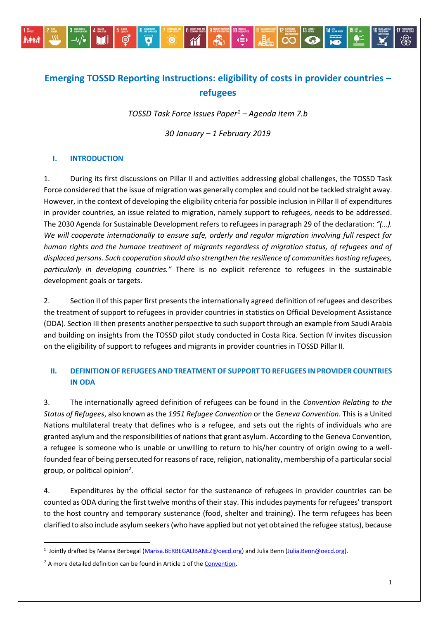# **Emerging TOSSD Reporting Instructions: eligibility of costs in provider countries – refugees**

*TOSSD Task Force Issues Paper<sup>1</sup> – Agenda item 7.b*

*30 January – 1 February 2019*

### **I. INTRODUCTION**

**A-PRI** 

 $\Theta$ 

1. During its first discussions on Pillar II and activities addressing global challenges, the TOSSD Task Force considered that the issue of migration was generally complex and could not be tackled straight away. However, in the context of developing the eligibility criteria for possible inclusion in Pillar II of expenditures in provider countries, an issue related to migration, namely support to refugees, needs to be addressed. The 2030 Agenda for Sustainable Development refers to refugees in paragraph 29 of the declaration: *"(…). We will cooperate internationally to ensure safe, orderly and regular migration involving full respect for human rights and the humane treatment of migrants regardless of migration status, of refugees and of displaced persons. Such cooperation should also strengthen the resilience of communities hosting refugees, particularly in developing countries."* There is no explicit reference to refugees in the sustainable development goals or targets.

2. Section II of this paper first presents the internationally agreed definition of refugees and describes the treatment of support to refugees in provider countries in statistics on Official Development Assistance (ODA). Section III then presents another perspective to such support through an example from Saudi Arabia and building on insights from the TOSSD pilot study conducted in Costa Rica. Section IV invites discussion on the eligibility of support to refugees and migrants in provider countries in TOSSD Pillar II.

## **II. DEFINITION OF REFUGEES AND TREATMENT OF SUPPORT TO REFUGEES IN PROVIDER COUNTRIES IN ODA**

3. The internationally agreed definition of refugees can be found in the *Convention Relating to the Status of Refugees*, also known as the *1951 Refugee Convention* or the *Geneva Convention*. This is a United Nations multilateral treaty that defines who is a refugee, and sets out the rights of individuals who are granted asylum and the responsibilities of nations that grant asylum. According to the Geneva Convention, a refugee is someone who is unable or unwilling to return to his/her country of origin owing to a wellfounded fear of being persecuted for reasons of race, religion, nationality, membership of a particular social group, or political opinion<sup>2</sup>.

4. Expenditures by the official sector for the sustenance of refugees in provider countries can be counted as ODA during the first twelve months of their stay. This includes payments for refugees' transport to the host country and temporary sustenance (food, shelter and training). The term refugees has been clarified to also include asylum seekers (who have applied but not yet obtained the refugee status), because

 $\ddot{\phantom{a}}$ 

<sup>&</sup>lt;sup>1</sup> Jointly drafted by Marisa Berbegal (<u>Marisa.BERBEGALIBANEZ@oecd.org</u>) and Julia Benn [\(Julia.Benn@oecd.org\)](mailto:Julia.Benn@oecd.org).

 $2$  A more detailed definition can be found in Article 1 of th[e Convention](https://cms.emergency.unhcr.org/documents/11982/55726/Convention+relating+to+the+Status+of+Refugees+%28signed+28+July+1951%2C+entered+into+force+22+April+1954%29+189+UNTS+150+and+Protocol+relating+to+the+Status+of+Refugees+%28signed+31+January+1967%2C+entered+into+force+4+October+1967%29+606+UNTS+267/0bf3248a-cfa8-4a60-864d-65cdfece1d47).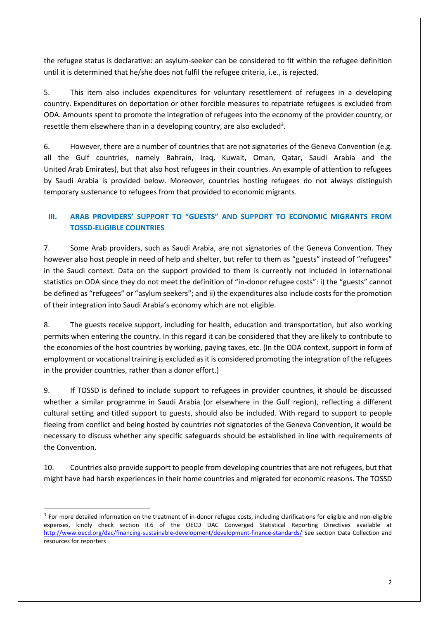the refugee status is declarative: an asylum-seeker can be considered to fit within the refugee definition until it is determined that he/she does not fulfil the refugee criteria, i.e., is rejected.

5. This item also includes expenditures for voluntary resettlement of refugees in a developing country. Expenditures on deportation or other forcible measures to repatriate refugees is excluded from ODA. Amounts spent to promote the integration of refugees into the economy of the provider country, or resettle them elsewhere than in a developing country, are also excluded<sup>3</sup>.

6. However, there are a number of countries that are not signatories of the Geneva Convention (e.g. all the Gulf countries, namely Bahrain, Iraq, Kuwait, Oman, Qatar, Saudi Arabia and the United Arab Emirates), but that also host refugees in their countries. An example of attention to refugees by Saudi Arabia is provided below. Moreover, countries hosting refugees do not always distinguish temporary sustenance to refugees from that provided to economic migrants.

# **III. ARAB PROVIDERS' SUPPORT TO "GUESTS" AND SUPPORT TO ECONOMIC MIGRANTS FROM TOSSD-ELIGIBLE COUNTRIES**

7. Some Arab providers, such as Saudi Arabia, are not signatories of the Geneva Convention. They however also host people in need of help and shelter, but refer to them as "guests" instead of "refugees" in the Saudi context. Data on the support provided to them is currently not included in international statistics on ODA since they do not meet the definition of "in-donor refugee costs": i) the "guests" cannot be defined as "refugees" or "asylum seekers"; and ii) the expenditures also include costs for the promotion of their integration into Saudi Arabia's economy which are not eligible.

8. The guests receive support, including for health, education and transportation, but also working permits when entering the country. In this regard it can be considered that they are likely to contribute to the economies of the host countries by working, paying taxes, etc. (In the ODA context, support in form of employment or vocational training is excluded as it is considered promoting the integration of the refugees in the provider countries, rather than a donor effort.)

9. If TOSSD is defined to include support to refugees in provider countries, it should be discussed whether a similar programme in Saudi Arabia (or elsewhere in the Gulf region), reflecting a different cultural setting and titled support to guests, should also be included. With regard to support to people fleeing from conflict and being hosted by countries not signatories of the Geneva Convention, it would be necessary to discuss whether any specific safeguards should be established in line with requirements of the Convention.

10. Countries also provide support to people from developing countries that are not refugees, but that might have had harsh experiences in their home countries and migrated for economic reasons. The TOSSD

 $\ddot{\phantom{a}}$ 

 $3$  For more detailed information on the treatment of in-donor refugee costs, including clarifications for eligible and non-eligible expenses, kindly check section II.6 of the OECD DAC Converged Statistical Reporting Directives available at <http://www.oecd.org/dac/financing-sustainable-development/development-finance-standards/> See section Data Collection and resources for reporters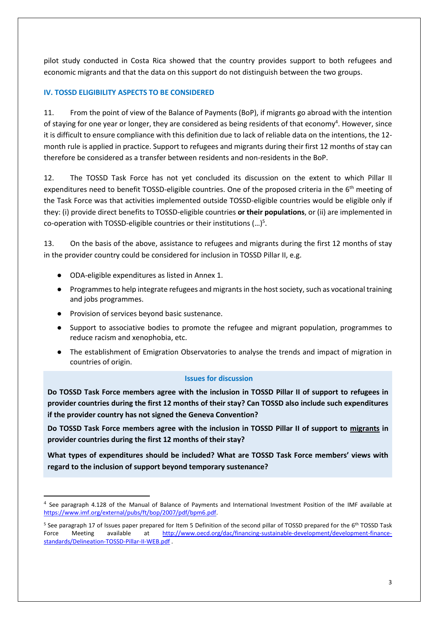pilot study conducted in Costa Rica showed that the country provides support to both refugees and economic migrants and that the data on this support do not distinguish between the two groups.

### **IV. TOSSD ELIGIBILITY ASPECTS TO BE CONSIDERED**

11. From the point of view of the Balance of Payments (BoP), if migrants go abroad with the intention of staying for one year or longer, they are considered as being residents of that economy<sup>4</sup>. However, since it is difficult to ensure compliance with this definition due to lack of reliable data on the intentions, the 12 month rule is applied in practice. Support to refugees and migrants during their first 12 months of stay can therefore be considered as a transfer between residents and non-residents in the BoP.

12. The TOSSD Task Force has not yet concluded its discussion on the extent to which Pillar II expenditures need to benefit TOSSD-eligible countries. One of the proposed criteria in the 6<sup>th</sup> meeting of the Task Force was that activities implemented outside TOSSD-eligible countries would be eligible only if they: (i) provide direct benefits to TOSSD-eligible countries **or their populations**, or (ii) are implemented in co-operation with TOSSD-eligible countries or their institutions  $(...)^5$ .

13. On the basis of the above, assistance to refugees and migrants during the first 12 months of stay in the provider country could be considered for inclusion in TOSSD Pillar II, e.g.

- ODA-eligible expenditures as listed in Annex 1.
- Programmes to help integrate refugees and migrants in the host society, such as vocational training and jobs programmes.
- Provision of services beyond basic sustenance.

 $\ddot{\phantom{a}}$ 

- Support to associative bodies to promote the refugee and migrant population, programmes to reduce racism and xenophobia, etc.
- The establishment of Emigration Observatories to analyse the trends and impact of migration in countries of origin.

#### **Issues for discussion**

**Do TOSSD Task Force members agree with the inclusion in TOSSD Pillar II of support to refugees in provider countries during the first 12 months of their stay? Can TOSSD also include such expenditures if the provider country has not signed the Geneva Convention?**

**Do TOSSD Task Force members agree with the inclusion in TOSSD Pillar II of support to migrants in provider countries during the first 12 months of their stay?** 

**What types of expenditures should be included? What are TOSSD Task Force members' views with regard to the inclusion of support beyond temporary sustenance?**

<sup>&</sup>lt;sup>4</sup> See paragraph 4.128 of the Manual of Balance of Payments and International Investment Position of the IMF available at [https://www.imf.org/external/pubs/ft/bop/2007/pdf/bpm6.pdf.](https://www.imf.org/external/pubs/ft/bop/2007/pdf/bpm6.pdf)

<sup>&</sup>lt;sup>5</sup> See paragraph 17 of Issues paper prepared for Item 5 Definition of the second pillar of TOSSD prepared for the 6<sup>th</sup> TOSSD Task Force Meeting available at [http://www.oecd.org/dac/financing-sustainable-development/development-finance](http://www.oecd.org/dac/financing-sustainable-development/development-finance-standards/Delineation-TOSSD-Pillar-II-WEB.pdf)[standards/Delineation-TOSSD-Pillar-II-WEB.pdf](http://www.oecd.org/dac/financing-sustainable-development/development-finance-standards/Delineation-TOSSD-Pillar-II-WEB.pdf) .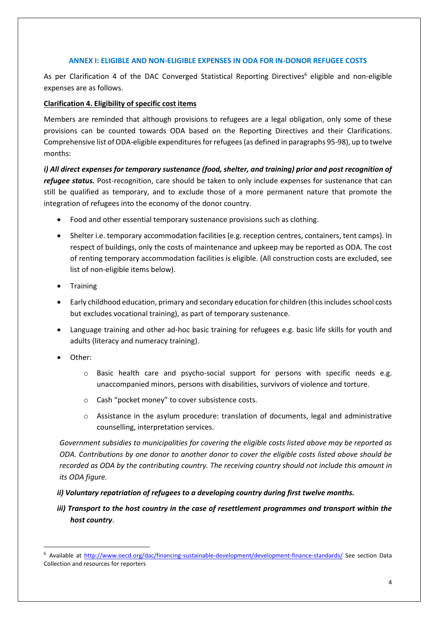#### **ANNEX I: ELIGIBLE AND NON-ELIGIBLE EXPENSES IN ODA FOR IN-DONOR REFUGEE COSTS**

As per Clarification 4 of the DAC Converged Statistical Reporting Directives<sup>6</sup> eligible and non-eligible expenses are as follows.

#### **Clarification 4. Eligibility of specific cost items**

Members are reminded that although provisions to refugees are a legal obligation, only some of these provisions can be counted towards ODA based on the Reporting Directives and their Clarifications. Comprehensive list of ODA-eligible expenditures for refugees (as defined in paragraphs 95-98), up to twelve months:

*i) All direct expenses for temporary sustenance (food, shelter, and training) prior and post recognition of refugee status.* Post-recognition, care should be taken to only include expenses for sustenance that can still be qualified as temporary, and to exclude those of a more permanent nature that promote the integration of refugees into the economy of the donor country.

- Food and other essential temporary sustenance provisions such as clothing.
- Shelter i.e. temporary accommodation facilities (e.g. reception centres, containers, tent camps). In respect of buildings, only the costs of maintenance and upkeep may be reported as ODA. The cost of renting temporary accommodation facilities is eligible. (All construction costs are excluded, see list of non-eligible items below).
- Training
- Early childhood education, primary and secondary education for children (this includes school costs but excludes vocational training), as part of temporary sustenance.
- Language training and other ad-hoc basic training for refugees e.g. basic life skills for youth and adults (literacy and numeracy training).
- Other:

 $\ddot{\phantom{a}}$ 

- $\circ$  Basic health care and psycho-social support for persons with specific needs e.g. unaccompanied minors, persons with disabilities, survivors of violence and torture.
- o Cash "pocket money" to cover subsistence costs.
- o Assistance in the asylum procedure: translation of documents, legal and administrative counselling, interpretation services.

*Government subsidies to municipalities for covering the eligible costs listed above may be reported as ODA. Contributions by one donor to another donor to cover the eligible costs listed above should be recorded as ODA by the contributing country. The receiving country should not include this amount in its ODA figure.*

- *ii) Voluntary repatriation of refugees to a developing country during first twelve months.*
- *iii)* Transport to the host country in the case of resettlement programmes and transport within the *host country*.

<sup>&</sup>lt;sup>6</sup> Available at<http://www.oecd.org/dac/financing-sustainable-development/development-finance-standards/> See section Data Collection and resources for reporters